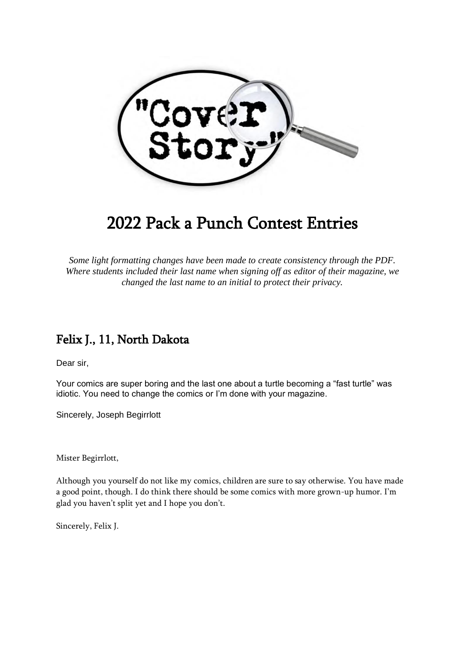

# 2022 Pack a Punch Contest Entries

*Some light formatting changes have been made to create consistency through the PDF. Where students included their last name when signing off as editor of their magazine, we changed the last name to an initial to protect their privacy.*

## Felix J., 11, North Dakota

Dear sir,

Your comics are super boring and the last one about a turtle becoming a "fast turtle" was idiotic. You need to change the comics or I'm done with your magazine.

Sincerely, Joseph Begirrlott

Mister Begirrlott,

Although you yourself do not like my comics, children are sure to say otherwise. You have made a good point, though. I do think there should be some comics with more grown-up humor. I'm glad you haven't split yet and I hope you don't.

Sincerely, Felix J.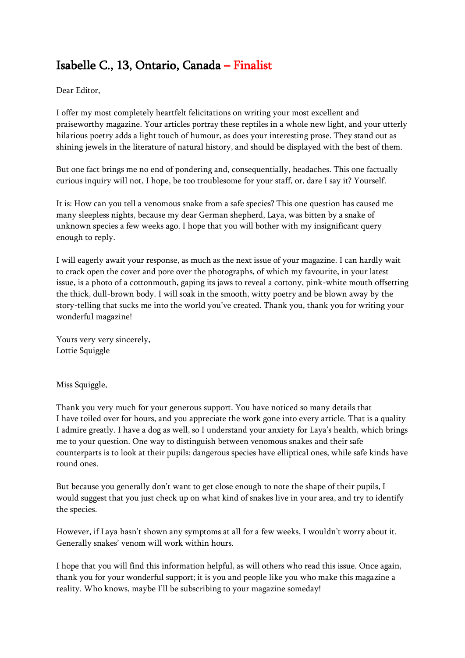# Isabelle C., 13, Ontario, Canada – Finalist

Dear Editor,

I offer my most completely heartfelt felicitations on writing your most excellent and praiseworthy magazine. Your articles portray these reptiles in a whole new light, and your utterly hilarious poetry adds a light touch of humour, as does your interesting prose. They stand out as shining jewels in the literature of natural history, and should be displayed with the best of them.

But one fact brings me no end of pondering and, consequentially, headaches. This one factually curious inquiry will not, I hope, be too troublesome for your staff, or, dare I say it? Yourself.

It is: How can you tell a venomous snake from a safe species? This one question has caused me many sleepless nights, because my dear German shepherd, Laya, was bitten by a snake of unknown species a few weeks ago. I hope that you will bother with my insignificant query enough to reply.

I will eagerly await your response, as much as the next issue of your magazine. I can hardly wait to crack open the cover and pore over the photographs, of which my favourite, in your latest issue, is a photo of a cottonmouth, gaping its jaws to reveal a cottony, pink-white mouth offsetting the thick, dull-brown body. I will soak in the smooth, witty poetry and be blown away by the story-telling that sucks me into the world you've created. Thank you, thank you for writing your wonderful magazine!

Yours very very sincerely, Lottie Squiggle

Miss Squiggle,

Thank you very much for your generous support. You have noticed so many details that I have toiled over for hours, and you appreciate the work gone into every article. That is a quality I admire greatly. I have a dog as well, so I understand your anxiety for Laya's health, which brings me to your question. One way to distinguish between venomous snakes and their safe counterparts is to look at their pupils; dangerous species have elliptical ones, while safe kinds have round ones.

But because you generally don't want to get close enough to note the shape of their pupils, I would suggest that you just check up on what kind of snakes live in your area, and try to identify the species.

However, if Laya hasn't shown any symptoms at all for a few weeks, I wouldn't worry about it. Generally snakes' venom will work within hours.

I hope that you will find this information helpful, as will others who read this issue. Once again, thank you for your wonderful support; it is you and people like you who make this magazine a reality. Who knows, maybe I'll be subscribing to your magazine someday!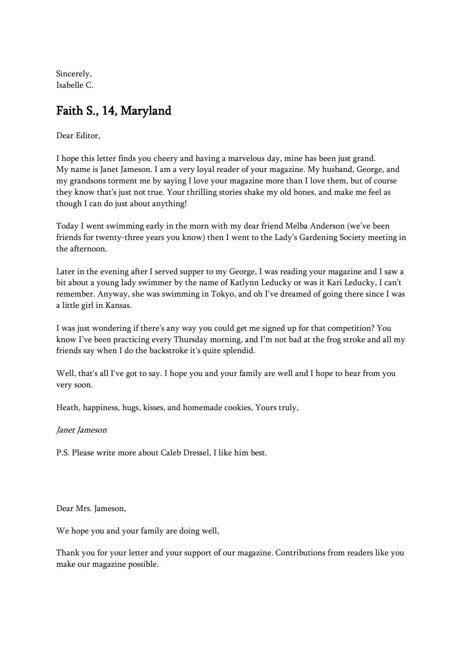Sincerely, Isabelle C.

# Faith S., 14, Maryland

Dear Editor,

I hope this letter finds you cheery and having a marvelous day, mine has been just grand. My name is Janet Jameson. I am a very loyal reader of your magazine. My husband, George, and my grandsons torment me by saying I love your magazine more than I love them, but of course they know that's just not true. Your thrilling stories shake my old bones, and make me feel as though I can do just about anything!

Today I went swimming early in the morn with my dear friend Melba Anderson (we've been friends for twenty-three years you know) then I went to the Lady's Gardening Society meeting in the afternoon.

Later in the evening after I served supper to my George, I was reading your magazine and I saw a bit about a young lady swimmer by the name of Katlynn Leducky or was it Kari Leducky, I can't remember. Anyway, she was swimming in Tokyo, and oh I've dreamed of going there since I was a little girl in Kansas.

I was just wondering if there's any way you could get me signed up for that competition? You know I've been practicing every Thursday morning, and I'm not bad at the frog stroke and all my friends say when I do the backstroke it's quite splendid.

Well, that's all I've got to say. I hope you and your family are well and I hope to hear from you very soon.

Heath, happiness, hugs, kisses, and homemade cookies, Yours truly,

#### Janet Jameson

P.S. Please write more about Caleb Dressel, I like him best.

Dear Mrs. Jameson,

We hope you and your family are doing well,

Thank you for your letter and your support of our magazine. Contributions from readers like you make our magazine possible.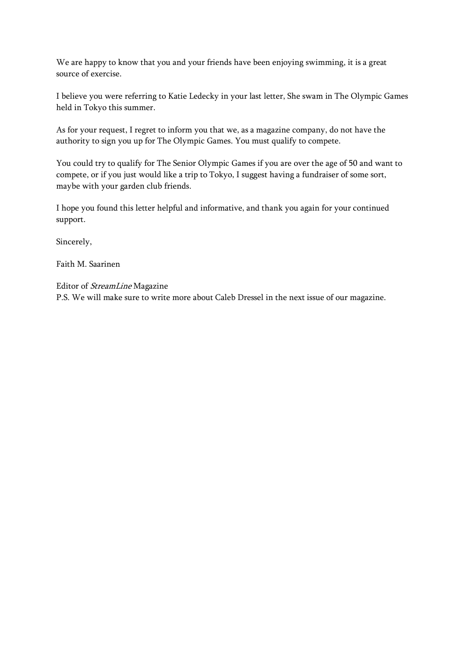We are happy to know that you and your friends have been enjoying swimming, it is a great source of exercise.

I believe you were referring to Katie Ledecky in your last letter, She swam in The Olympic Games held in Tokyo this summer.

As for your request, I regret to inform you that we, as a magazine company, do not have the authority to sign you up for The Olympic Games. You must qualify to compete.

You could try to qualify for The Senior Olympic Games if you are over the age of 50 and want to compete, or if you just would like a trip to Tokyo, I suggest having a fundraiser of some sort, maybe with your garden club friends.

I hope you found this letter helpful and informative, and thank you again for your continued support.

Sincerely,

Faith M. Saarinen

Editor of StreamLine Magazine

P.S. We will make sure to write more about Caleb Dressel in the next issue of our magazine.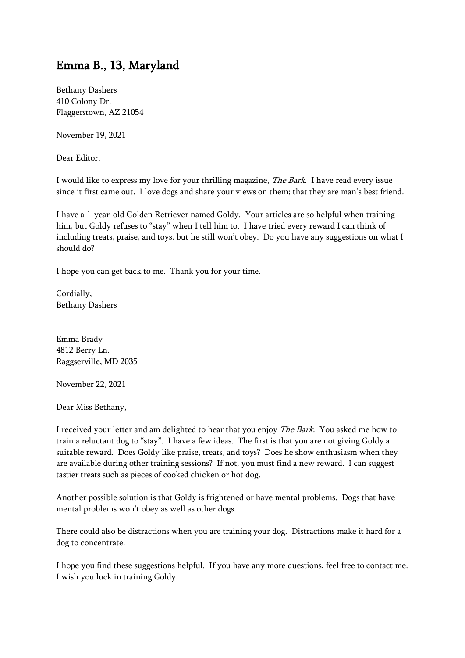#### Emma B., 13, Maryland

Bethany Dashers 410 Colony Dr. Flaggerstown, AZ 21054

November 19, 2021

Dear Editor,

I would like to express my love for your thrilling magazine, The Bark. I have read every issue since it first came out. I love dogs and share your views on them; that they are man's best friend.

I have a 1-year-old Golden Retriever named Goldy. Your articles are so helpful when training him, but Goldy refuses to "stay" when I tell him to. I have tried every reward I can think of including treats, praise, and toys, but he still won't obey. Do you have any suggestions on what I should do?

I hope you can get back to me. Thank you for your time.

Cordially, Bethany Dashers

Emma Brady 4812 Berry Ln. Raggserville, MD 2035

November 22, 2021

Dear Miss Bethany,

I received your letter and am delighted to hear that you enjoy The Bark. You asked me how to train a reluctant dog to "stay". I have a few ideas. The first is that you are not giving Goldy a suitable reward. Does Goldy like praise, treats, and toys? Does he show enthusiasm when they are available during other training sessions? If not, you must find a new reward. I can suggest tastier treats such as pieces of cooked chicken or hot dog.

Another possible solution is that Goldy is frightened or have mental problems. Dogs that have mental problems won't obey as well as other dogs.

There could also be distractions when you are training your dog. Distractions make it hard for a dog to concentrate.

I hope you find these suggestions helpful. If you have any more questions, feel free to contact me. I wish you luck in training Goldy.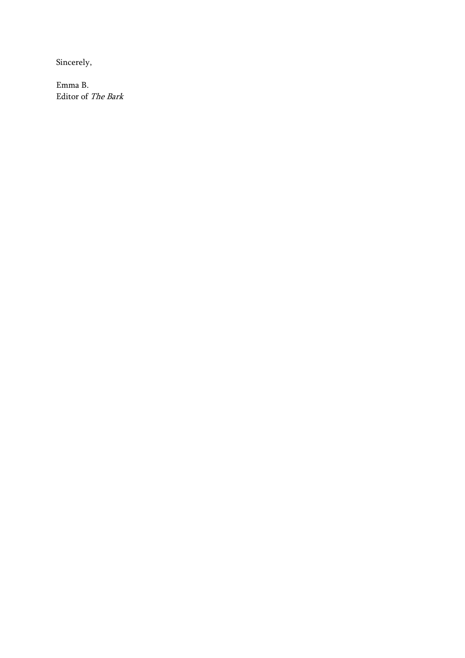Sincerely,

Emma B. Editor of The Bark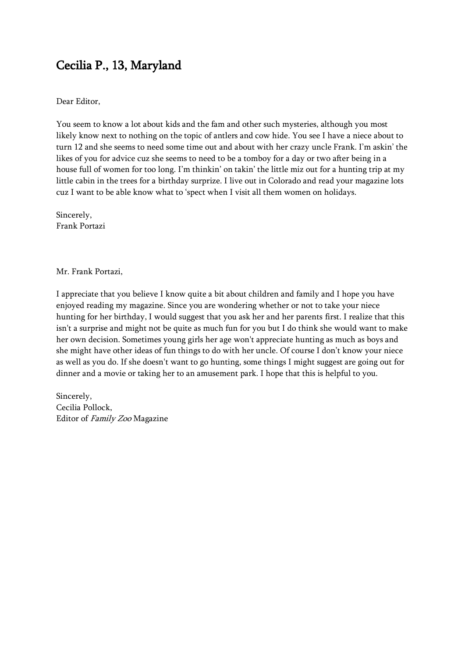# Cecilia P., 13, Maryland

#### Dear Editor,

You seem to know a lot about kids and the fam and other such mysteries, although you most likely know next to nothing on the topic of antlers and cow hide. You see I have a niece about to turn 12 and she seems to need some time out and about with her crazy uncle Frank. I'm askin' the likes of you for advice cuz she seems to need to be a tomboy for a day or two after being in a house full of women for too long. I'm thinkin' on takin' the little miz out for a hunting trip at my little cabin in the trees for a birthday surprize. I live out in Colorado and read your magazine lots cuz I want to be able know what to 'spect when I visit all them women on holidays.

Sincerely, Frank Portazi

Mr. Frank Portazi,

I appreciate that you believe I know quite a bit about children and family and I hope you have enjoyed reading my magazine. Since you are wondering whether or not to take your niece hunting for her birthday, I would suggest that you ask her and her parents first. I realize that this isn't a surprise and might not be quite as much fun for you but I do think she would want to make her own decision. Sometimes young girls her age won't appreciate hunting as much as boys and she might have other ideas of fun things to do with her uncle. Of course I don't know your niece as well as you do. If she doesn't want to go hunting, some things I might suggest are going out for dinner and a movie or taking her to an amusement park. I hope that this is helpful to you.

Sincerely, Cecilia Pollock, Editor of Family Zoo Magazine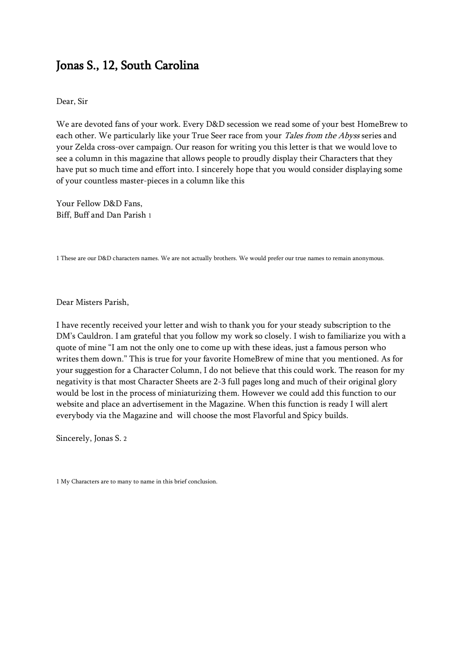#### Jonas S., 12, South Carolina

Dear, Sir

We are devoted fans of your work. Every D&D secession we read some of your best HomeBrew to each other. We particularly like your True Seer race from your Tales from the Abyss series and your Zelda cross-over campaign. Our reason for writing you this letter is that we would love to see a column in this magazine that allows people to proudly display their Characters that they have put so much time and effort into. I sincerely hope that you would consider displaying some of your countless master-pieces in a column like this

Your Fellow D&D Fans, Biff, Buff and Dan Parish 1

1 These are our D&D characters names. We are not actually brothers. We would prefer our true names to remain anonymous.

Dear Misters Parish,

I have recently received your letter and wish to thank you for your steady subscription to the DM's Cauldron. I am grateful that you follow my work so closely. I wish to familiarize you with a quote of mine "I am not the only one to come up with these ideas, just a famous person who writes them down." This is true for your favorite HomeBrew of mine that you mentioned. As for your suggestion for a Character Column, I do not believe that this could work. The reason for my negativity is that most Character Sheets are 2-3 full pages long and much of their original glory would be lost in the process of miniaturizing them. However we could add this function to our website and place an advertisement in the Magazine. When this function is ready I will alert everybody via the Magazine and will choose the most Flavorful and Spicy builds.

Sincerely, Jonas S. 2

1 My Characters are to many to name in this brief conclusion.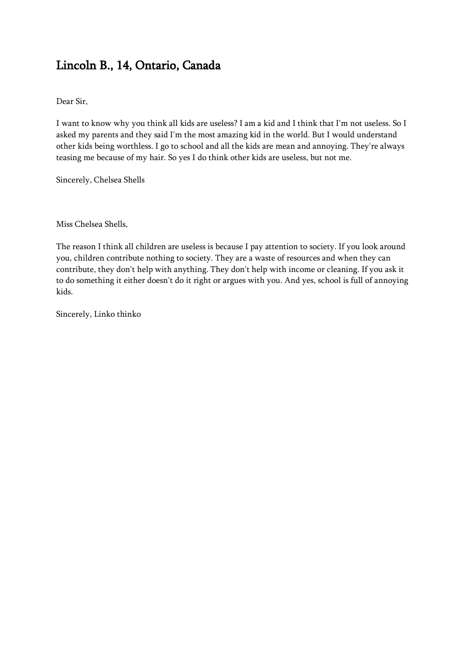# Lincoln B., 14, Ontario, Canada

Dear Sir,

I want to know why you think all kids are useless? I am a kid and I think that I'm not useless. So I asked my parents and they said I'm the most amazing kid in the world. But I would understand other kids being worthless. I go to school and all the kids are mean and annoying. They're always teasing me because of my hair. So yes I do think other kids are useless, but not me.

Sincerely, Chelsea Shells

Miss Chelsea Shells,

The reason I think all children are useless is because I pay attention to society. If you look around you, children contribute nothing to society. They are a waste of resources and when they can contribute, they don't help with anything. They don't help with income or cleaning. If you ask it to do something it either doesn't do it right or argues with you. And yes, school is full of annoying kids.

Sincerely, Linko thinko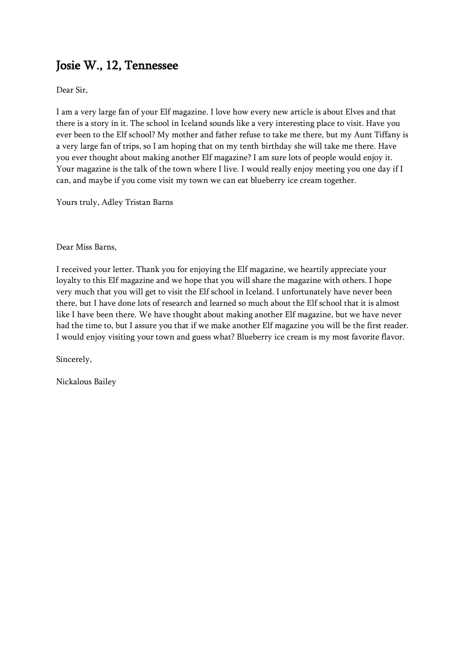# Josie W., 12, Tennessee

Dear Sir,

I am a very large fan of your Elf magazine. I love how every new article is about Elves and that there is a story in it. The school in Iceland sounds like a very interesting place to visit. Have you ever been to the Elf school? My mother and father refuse to take me there, but my Aunt Tiffany is a very large fan of trips, so I am hoping that on my tenth birthday she will take me there. Have you ever thought about making another Elf magazine? I am sure lots of people would enjoy it. Your magazine is the talk of the town where I live. I would really enjoy meeting you one day if I can, and maybe if you come visit my town we can eat blueberry ice cream together.

Yours truly, Adley Tristan Barns

Dear Miss Barns,

I received your letter. Thank you for enjoying the Elf magazine, we heartily appreciate your loyalty to this Elf magazine and we hope that you will share the magazine with others. I hope very much that you will get to visit the Elf school in Iceland. I unfortunately have never been there, but I have done lots of research and learned so much about the Elf school that it is almost like I have been there. We have thought about making another Elf magazine, but we have never had the time to, but I assure you that if we make another Elf magazine you will be the first reader. I would enjoy visiting your town and guess what? Blueberry ice cream is my most favorite flavor.

Sincerely,

Nickalous Bailey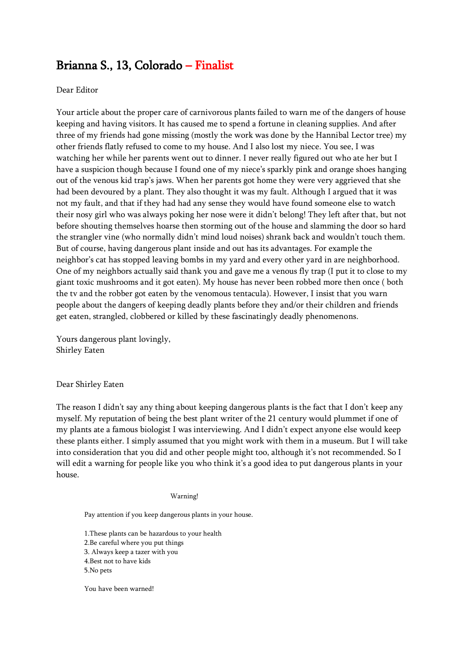## Brianna S., 13, Colorado – Finalist

#### Dear Editor

Your article about the proper care of carnivorous plants failed to warn me of the dangers of house keeping and having visitors. It has caused me to spend a fortune in cleaning supplies. And after three of my friends had gone missing (mostly the work was done by the Hannibal Lector tree) my other friends flatly refused to come to my house. And I also lost my niece. You see, I was watching her while her parents went out to dinner. I never really figured out who ate her but I have a suspicion though because I found one of my niece's sparkly pink and orange shoes hanging out of the venous kid trap's jaws. When her parents got home they were very aggrieved that she had been devoured by a plant. They also thought it was my fault. Although I argued that it was not my fault, and that if they had had any sense they would have found someone else to watch their nosy girl who was always poking her nose were it didn't belong! They left after that, but not before shouting themselves hoarse then storming out of the house and slamming the door so hard the strangler vine (who normally didn't mind loud noises) shrank back and wouldn't touch them. But of course, having dangerous plant inside and out has its advantages. For example the neighbor's cat has stopped leaving bombs in my yard and every other yard in are neighborhood. One of my neighbors actually said thank you and gave me a venous fly trap (I put it to close to my giant toxic mushrooms and it got eaten). My house has never been robbed more then once ( both the tv and the robber got eaten by the venomous tentacula). However, I insist that you warn people about the dangers of keeping deadly plants before they and/or their children and friends get eaten, strangled, clobbered or killed by these fascinatingly deadly phenomenons.

Yours dangerous plant lovingly, Shirley Eaten

#### Dear Shirley Eaten

The reason I didn't say any thing about keeping dangerous plants is the fact that I don't keep any myself. My reputation of being the best plant writer of the 21 century would plummet if one of my plants ate a famous biologist I was interviewing. And I didn't expect anyone else would keep these plants either. I simply assumed that you might work with them in a museum. But I will take into consideration that you did and other people might too, although it's not recommended. So I will edit a warning for people like you who think it's a good idea to put dangerous plants in your house.

#### Warning!

Pay attention if you keep dangerous plants in your house.

1.These plants can be hazardous to your health 2.Be careful where you put things 3. Always keep a tazer with you 4.Best not to have kids 5.No pets

You have been warned!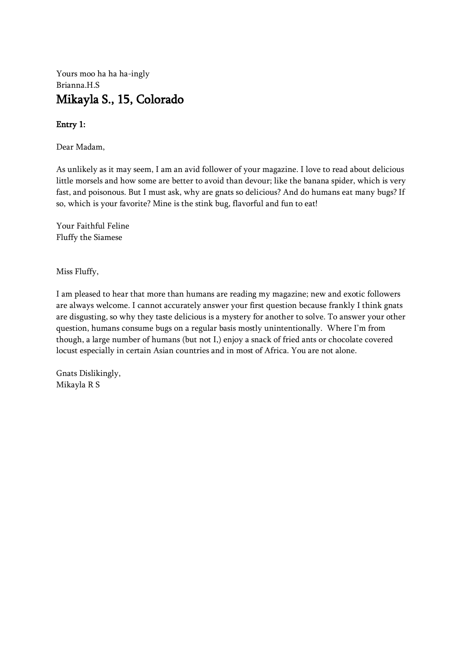#### Yours moo ha ha ha-ingly Brianna.H.S Mikayla S., 15, Colorado

#### Entry 1:

Dear Madam,

As unlikely as it may seem, I am an avid follower of your magazine. I love to read about delicious little morsels and how some are better to avoid than devour; like the banana spider, which is very fast, and poisonous. But I must ask, why are gnats so delicious? And do humans eat many bugs? If so, which is your favorite? Mine is the stink bug, flavorful and fun to eat!

Your Faithful Feline Fluffy the Siamese

Miss Fluffy,

I am pleased to hear that more than humans are reading my magazine; new and exotic followers are always welcome. I cannot accurately answer your first question because frankly I think gnats are disgusting, so why they taste delicious is a mystery for another to solve. To answer your other question, humans consume bugs on a regular basis mostly unintentionally. Where I'm from though, a large number of humans (but not I,) enjoy a snack of fried ants or chocolate covered locust especially in certain Asian countries and in most of Africa. You are not alone.

Gnats Dislikingly, Mikayla R S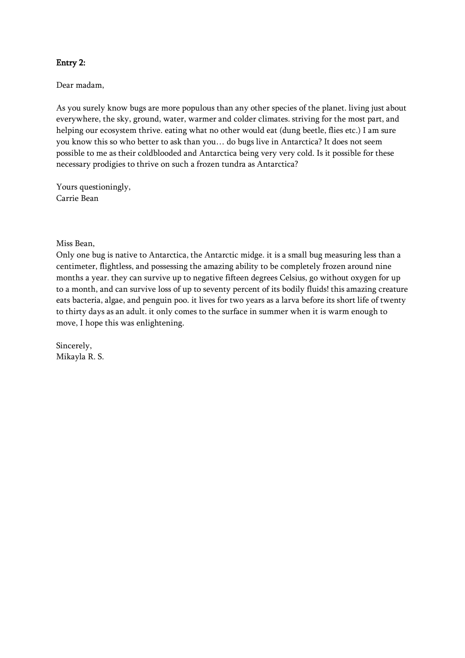#### Entry 2:

Dear madam,

As you surely know bugs are more populous than any other species of the planet. living just about everywhere, the sky, ground, water, warmer and colder climates. striving for the most part, and helping our ecosystem thrive. eating what no other would eat (dung beetle, flies etc.) I am sure you know this so who better to ask than you… do bugs live in Antarctica? It does not seem possible to me as their coldblooded and Antarctica being very very cold. Is it possible for these necessary prodigies to thrive on such a frozen tundra as Antarctica?

Yours questioningly, Carrie Bean

Miss Bean,

Only one bug is native to Antarctica, the Antarctic midge. it is a small bug measuring less than a centimeter, flightless, and possessing the amazing ability to be completely frozen around nine months a year. they can survive up to negative fifteen degrees Celsius, go without oxygen for up to a month, and can survive loss of up to seventy percent of its bodily fluids! this amazing creature eats bacteria, algae, and penguin poo. it lives for two years as a larva before its short life of twenty to thirty days as an adult. it only comes to the surface in summer when it is warm enough to move, I hope this was enlightening.

Sincerely, Mikayla R. S.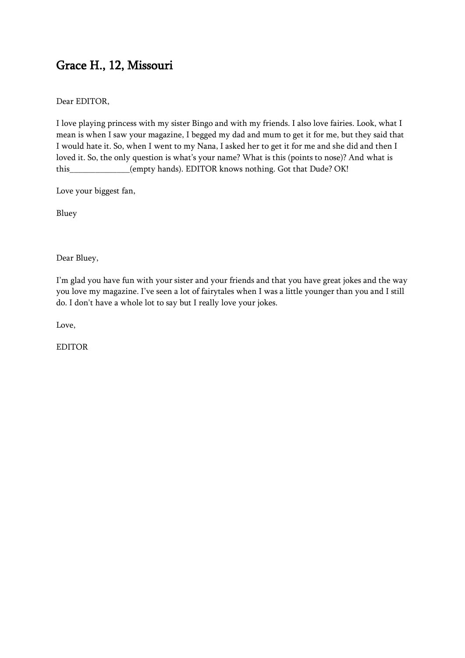# Grace H., 12, Missouri

Dear EDITOR,

I love playing princess with my sister Bingo and with my friends. I also love fairies. Look, what I mean is when I saw your magazine, I begged my dad and mum to get it for me, but they said that I would hate it. So, when I went to my Nana, I asked her to get it for me and she did and then I loved it. So, the only question is what's your name? What is this (points to nose)? And what is this (empty hands). EDITOR knows nothing. Got that Dude? OK!

Love your biggest fan,

Bluey

Dear Bluey,

I'm glad you have fun with your sister and your friends and that you have great jokes and the way you love my magazine. I've seen a lot of fairytales when I was a little younger than you and I still do. I don't have a whole lot to say but I really love your jokes.

Love,

EDITOR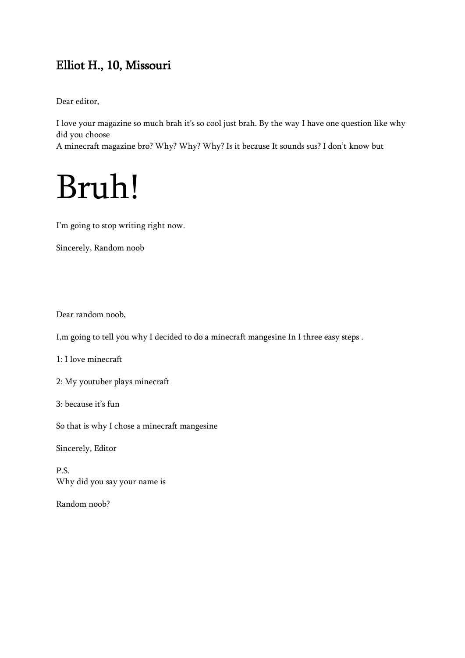# Elliot H., 10, Missouri

Dear editor,

I love your magazine so much brah it's so cool just brah. By the way I have one question like why did you choose

A minecraft magazine bro? Why? Why? Why? Is it because It sounds sus? I don't know but

# Bruh!

I'm going to stop writing right now.

Sincerely, Random noob

Dear random noob,

I,m going to tell you why I decided to do a minecraft mangesine In I three easy steps .

1: I love minecraft

2: My youtuber plays minecraft

3: because it's fun

So that is why I chose a minecraft mangesine

Sincerely, Editor

P.S. Why did you say your name is

Random noob?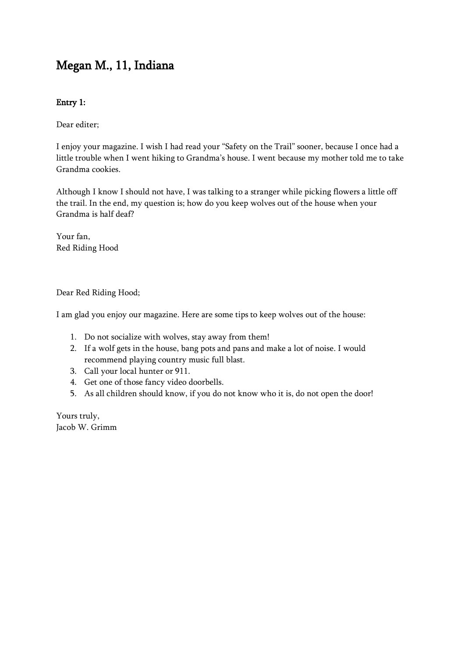# Megan M., 11, Indiana

#### Entry 1:

Dear editer;

I enjoy your magazine. I wish I had read your "Safety on the Trail" sooner, because I once had a little trouble when I went hiking to Grandma's house. I went because my mother told me to take Grandma cookies.

Although I know I should not have, I was talking to a stranger while picking flowers a little off the trail. In the end, my question is; how do you keep wolves out of the house when your Grandma is half deaf?

Your fan, Red Riding Hood

Dear Red Riding Hood;

I am glad you enjoy our magazine. Here are some tips to keep wolves out of the house:

- 1. Do not socialize with wolves, stay away from them!
- 2. If a wolf gets in the house, bang pots and pans and make a lot of noise. I would recommend playing country music full blast.
- 3. Call your local hunter or 911.
- 4. Get one of those fancy video doorbells.
- 5. As all children should know, if you do not know who it is, do not open the door!

Yours truly, Jacob W. Grimm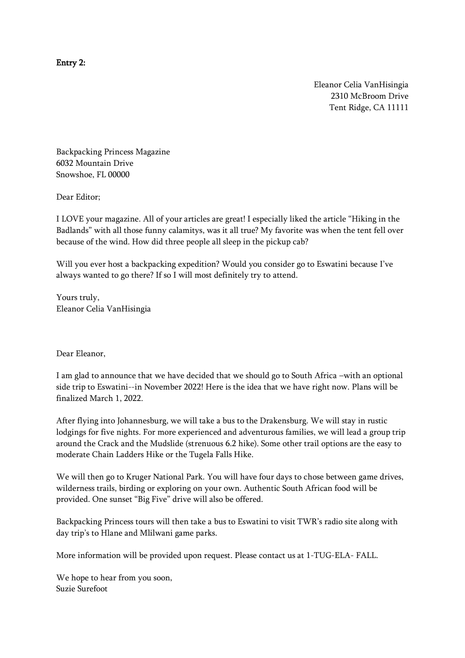Entry 2:

Eleanor Celia VanHisingia 2310 McBroom Drive Tent Ridge, CA 11111

Backpacking Princess Magazine 6032 Mountain Drive Snowshoe, FL 00000

Dear Editor;

I LOVE your magazine. All of your articles are great! I especially liked the article "Hiking in the Badlands" with all those funny calamitys, was it all true? My favorite was when the tent fell over because of the wind. How did three people all sleep in the pickup cab?

Will you ever host a backpacking expedition? Would you consider go to Eswatini because I've always wanted to go there? If so I will most definitely try to attend.

Yours truly, Eleanor Celia VanHisingia

#### Dear Eleanor,

I am glad to announce that we have decided that we should go to South Africa –with an optional side trip to Eswatini--in November 2022! Here is the idea that we have right now. Plans will be finalized March 1, 2022.

After flying into Johannesburg, we will take a bus to the Drakensburg. We will stay in rustic lodgings for five nights. For more experienced and adventurous families, we will lead a group trip around the Crack and the Mudslide (strenuous 6.2 hike). Some other trail options are the easy to moderate Chain Ladders Hike or the Tugela Falls Hike.

We will then go to Kruger National Park. You will have four days to chose between game drives, wilderness trails, birding or exploring on your own. Authentic South African food will be provided. One sunset "Big Five" drive will also be offered.

Backpacking Princess tours will then take a bus to Eswatini to visit TWR's radio site along with day trip's to Hlane and Mlilwani game parks.

More information will be provided upon request. Please contact us at 1-TUG-ELA- FALL.

We hope to hear from you soon, Suzie Surefoot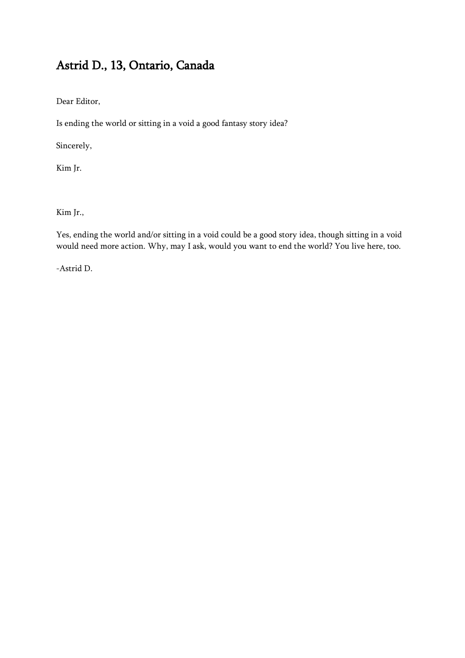# Astrid D., 13, Ontario, Canada

Dear Editor,

Is ending the world or sitting in a void a good fantasy story idea?

Sincerely,

Kim Jr.

Kim Jr.,

Yes, ending the world and/or sitting in a void could be a good story idea, though sitting in a void would need more action. Why, may I ask, would you want to end the world? You live here, too.

-Astrid D.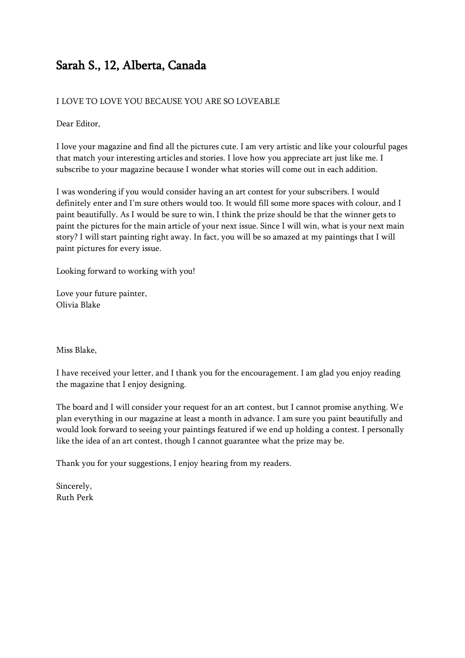# Sarah S., 12, Alberta, Canada

#### I LOVE TO LOVE YOU BECAUSE YOU ARE SO LOVEABLE

Dear Editor,

I love your magazine and find all the pictures cute. I am very artistic and like your colourful pages that match your interesting articles and stories. I love how you appreciate art just like me. I subscribe to your magazine because I wonder what stories will come out in each addition.

I was wondering if you would consider having an art contest for your subscribers. I would definitely enter and I'm sure others would too. It would fill some more spaces with colour, and I paint beautifully. As I would be sure to win, I think the prize should be that the winner gets to paint the pictures for the main article of your next issue. Since I will win, what is your next main story? I will start painting right away. In fact, you will be so amazed at my paintings that I will paint pictures for every issue.

Looking forward to working with you!

Love your future painter, Olivia Blake

Miss Blake,

I have received your letter, and I thank you for the encouragement. I am glad you enjoy reading the magazine that I enjoy designing.

The board and I will consider your request for an art contest, but I cannot promise anything. We plan everything in our magazine at least a month in advance. I am sure you paint beautifully and would look forward to seeing your paintings featured if we end up holding a contest. I personally like the idea of an art contest, though I cannot guarantee what the prize may be.

Thank you for your suggestions, I enjoy hearing from my readers.

Sincerely, Ruth Perk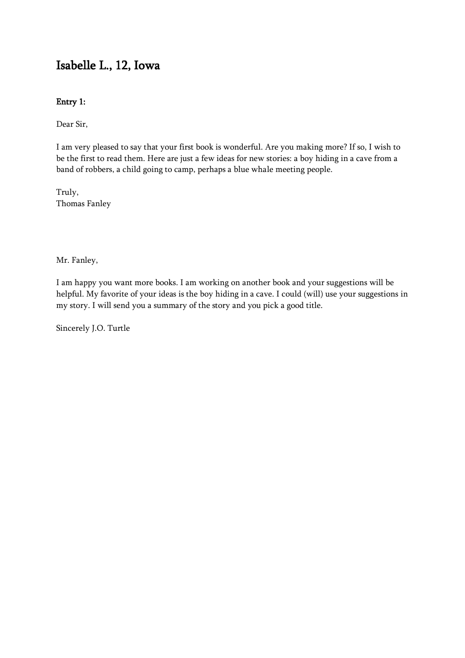## Isabelle L., 12, Iowa

#### Entry 1:

Dear Sir,

I am very pleased to say that your first book is wonderful. Are you making more? If so, I wish to be the first to read them. Here are just a few ideas for new stories: a boy hiding in a cave from a band of robbers, a child going to camp, perhaps a blue whale meeting people.

Truly, Thomas Fanley

Mr. Fanley,

I am happy you want more books. I am working on another book and your suggestions will be helpful. My favorite of your ideas is the boy hiding in a cave. I could (will) use your suggestions in my story. I will send you a summary of the story and you pick a good title.

Sincerely J.O. Turtle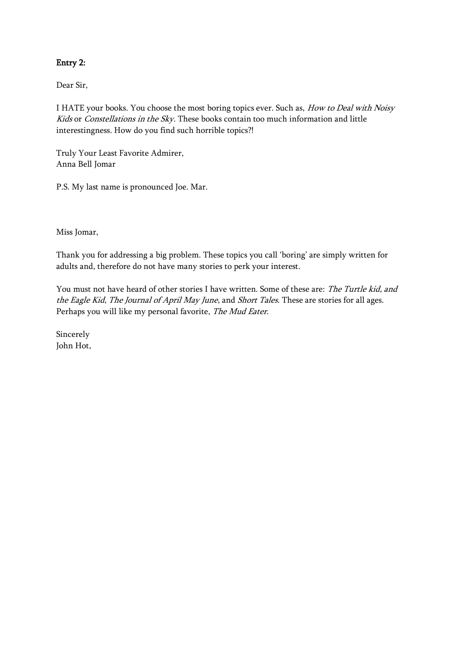#### Entry 2:

Dear Sir,

I HATE your books. You choose the most boring topics ever. Such as, How to Deal with Noisy Kids or Constellations in the Sky. These books contain too much information and little interestingness. How do you find such horrible topics?!

Truly Your Least Favorite Admirer, Anna Bell Jomar

P.S. My last name is pronounced Joe. Mar.

Miss Jomar,

Thank you for addressing a big problem. These topics you call 'boring' are simply written for adults and, therefore do not have many stories to perk your interest.

You must not have heard of other stories I have written. Some of these are: The Turtle kid, and the Eagle Kid, The Journal of April May June, and Short Tales. These are stories for all ages. Perhaps you will like my personal favorite, The Mud Eater.

Sincerely John Hot,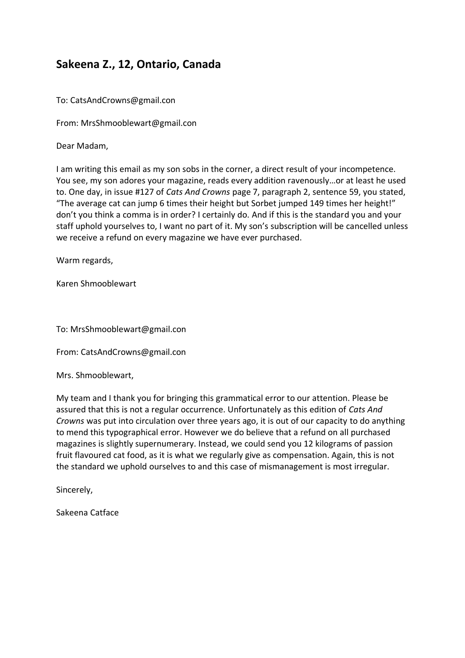#### **Sakeena Z., 12, Ontario, Canada**

To: CatsAndCrowns@gmail.con

From: MrsShmooblewart@gmail.con

Dear Madam,

I am writing this email as my son sobs in the corner, a direct result of your incompetence. You see, my son adores your magazine, reads every addition ravenously…or at least he used to. One day, in issue #127 of *Cats And Crowns* page 7, paragraph 2, sentence 59, you stated, "The average cat can jump 6 times their height but Sorbet jumped 149 times her height!" don't you think a comma is in order? I certainly do. And if this is the standard you and your staff uphold yourselves to, I want no part of it. My son's subscription will be cancelled unless we receive a refund on every magazine we have ever purchased.

Warm regards,

Karen Shmooblewart

To: MrsShmooblewart@gmail.con

From: CatsAndCrowns@gmail.con

Mrs. Shmooblewart,

My team and I thank you for bringing this grammatical error to our attention. Please be assured that this is not a regular occurrence. Unfortunately as this edition of *Cats And Crowns* was put into circulation over three years ago, it is out of our capacity to do anything to mend this typographical error. However we do believe that a refund on all purchased magazines is slightly supernumerary. Instead, we could send you 12 kilograms of passion fruit flavoured cat food, as it is what we regularly give as compensation. Again, this is not the standard we uphold ourselves to and this case of mismanagement is most irregular.

Sincerely,

Sakeena Catface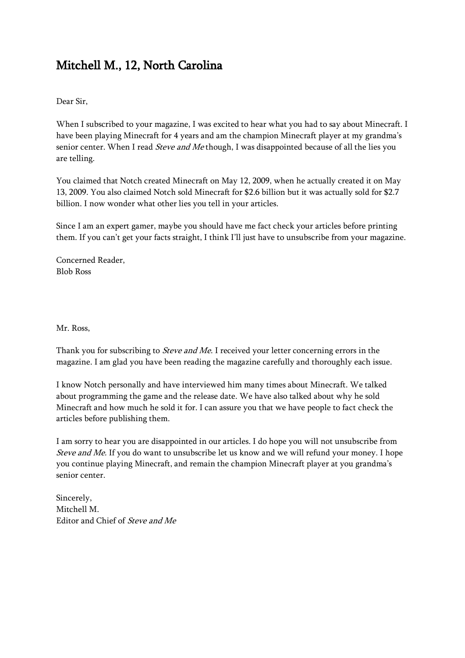# Mitchell M., 12, North Carolina

Dear Sir,

When I subscribed to your magazine, I was excited to hear what you had to say about Minecraft. I have been playing Minecraft for 4 years and am the champion Minecraft player at my grandma's senior center. When I read *Steve and Me* though, I was disappointed because of all the lies you are telling.

You claimed that Notch created Minecraft on May 12, 2009, when he actually created it on May 13, 2009. You also claimed Notch sold Minecraft for \$2.6 billion but it was actually sold for \$2.7 billion. I now wonder what other lies you tell in your articles.

Since I am an expert gamer, maybe you should have me fact check your articles before printing them. If you can't get your facts straight, I think I'll just have to unsubscribe from your magazine.

Concerned Reader, Blob Ross

Mr. Ross,

Thank you for subscribing to *Steve and Me*. I received your letter concerning errors in the magazine. I am glad you have been reading the magazine carefully and thoroughly each issue.

I know Notch personally and have interviewed him many times about Minecraft. We talked about programming the game and the release date. We have also talked about why he sold Minecraft and how much he sold it for. I can assure you that we have people to fact check the articles before publishing them.

I am sorry to hear you are disappointed in our articles. I do hope you will not unsubscribe from Steve and Me. If you do want to unsubscribe let us know and we will refund your money. I hope you continue playing Minecraft, and remain the champion Minecraft player at you grandma's senior center.

Sincerely, Mitchell M. Editor and Chief of Steve and Me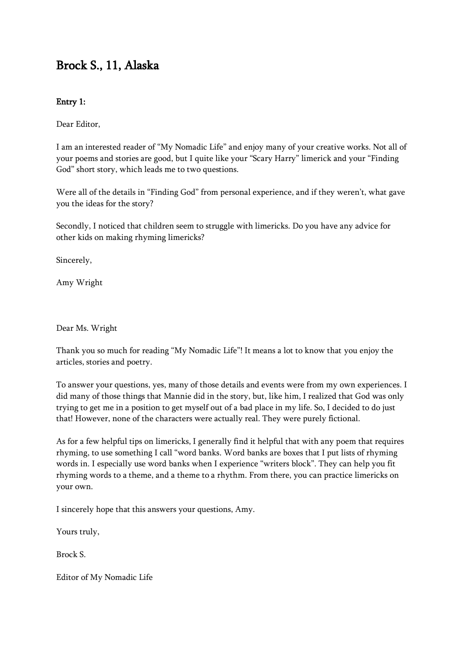# Brock S., 11, Alaska

#### Entry 1:

Dear Editor,

I am an interested reader of "My Nomadic Life" and enjoy many of your creative works. Not all of your poems and stories are good, but I quite like your "Scary Harry" limerick and your "Finding God" short story, which leads me to two questions.

Were all of the details in "Finding God" from personal experience, and if they weren't, what gave you the ideas for the story?

Secondly, I noticed that children seem to struggle with limericks. Do you have any advice for other kids on making rhyming limericks?

Sincerely,

Amy Wright

Dear Ms. Wright

Thank you so much for reading "My Nomadic Life"! It means a lot to know that you enjoy the articles, stories and poetry.

To answer your questions, yes, many of those details and events were from my own experiences. I did many of those things that Mannie did in the story, but, like him, I realized that God was only trying to get me in a position to get myself out of a bad place in my life. So, I decided to do just that! However, none of the characters were actually real. They were purely fictional.

As for a few helpful tips on limericks, I generally find it helpful that with any poem that requires rhyming, to use something I call "word banks. Word banks are boxes that I put lists of rhyming words in. I especially use word banks when I experience "writers block". They can help you fit rhyming words to a theme, and a theme to a rhythm. From there, you can practice limericks on your own.

I sincerely hope that this answers your questions, Amy.

Yours truly,

Brock S.

Editor of My Nomadic Life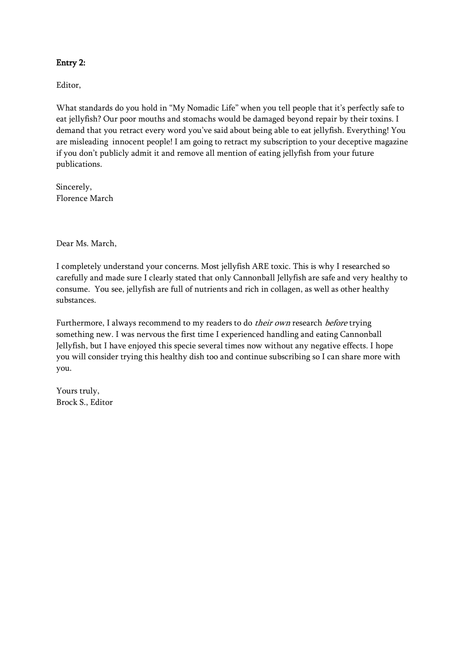#### Entry 2:

Editor,

What standards do you hold in "My Nomadic Life" when you tell people that it's perfectly safe to eat jellyfish? Our poor mouths and stomachs would be damaged beyond repair by their toxins. I demand that you retract every word you've said about being able to eat jellyfish. Everything! You are misleading innocent people! I am going to retract my subscription to your deceptive magazine if you don't publicly admit it and remove all mention of eating jellyfish from your future publications.

Sincerely, Florence March

Dear Ms. March,

I completely understand your concerns. Most jellyfish ARE toxic. This is why I researched so carefully and made sure I clearly stated that only Cannonball Jellyfish are safe and very healthy to consume. You see, jellyfish are full of nutrients and rich in collagen, as well as other healthy substances.

Furthermore, I always recommend to my readers to do *their own* research *before* trying something new. I was nervous the first time I experienced handling and eating Cannonball Jellyfish, but I have enjoyed this specie several times now without any negative effects. I hope you will consider trying this healthy dish too and continue subscribing so I can share more with you.

Yours truly, Brock S., Editor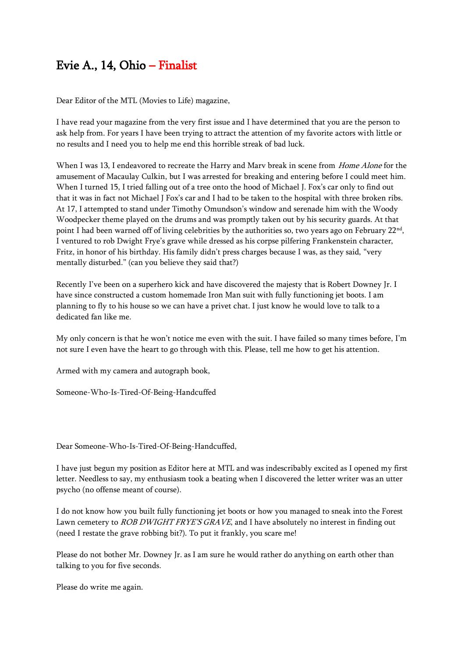# Evie A., 14, Ohio – Finalist

Dear Editor of the MTL (Movies to Life) magazine,

I have read your magazine from the very first issue and I have determined that you are the person to ask help from. For years I have been trying to attract the attention of my favorite actors with little or no results and I need you to help me end this horrible streak of bad luck.

When I was 13, I endeavored to recreate the Harry and Marv break in scene from Home Alone for the amusement of Macaulay Culkin, but I was arrested for breaking and entering before I could meet him. When I turned 15, I tried falling out of a tree onto the hood of Michael J. Fox's car only to find out that it was in fact not Michael J Fox's car and I had to be taken to the hospital with three broken ribs. At 17, I attempted to stand under Timothy Omundson's window and serenade him with the Woody Woodpecker theme played on the drums and was promptly taken out by his security guards. At that point I had been warned off of living celebrities by the authorities so, two years ago on February  $22^{\text{nd}}$ , I ventured to rob Dwight Frye's grave while dressed as his corpse pilfering Frankenstein character, Fritz, in honor of his birthday. His family didn't press charges because I was, as they said, "very mentally disturbed." (can you believe they said that?)

Recently I've been on a superhero kick and have discovered the majesty that is Robert Downey Jr. I have since constructed a custom homemade Iron Man suit with fully functioning jet boots. I am planning to fly to his house so we can have a privet chat. I just know he would love to talk to a dedicated fan like me.

My only concern is that he won't notice me even with the suit. I have failed so many times before, I'm not sure I even have the heart to go through with this. Please, tell me how to get his attention.

Armed with my camera and autograph book,

Someone-Who-Is-Tired-Of-Being-Handcuffed

Dear Someone-Who-Is-Tired-Of-Being-Handcuffed,

I have just begun my position as Editor here at MTL and was indescribably excited as I opened my first letter. Needless to say, my enthusiasm took a beating when I discovered the letter writer was an utter psycho (no offense meant of course).

I do not know how you built fully functioning jet boots or how you managed to sneak into the Forest Lawn cemetery to *ROB DWIGHT FRYE'S GRAVE*, and I have absolutely no interest in finding out (need I restate the grave robbing bit?). To put it frankly, you scare me!

Please do not bother Mr. Downey Jr. as I am sure he would rather do anything on earth other than talking to you for five seconds.

Please do write me again.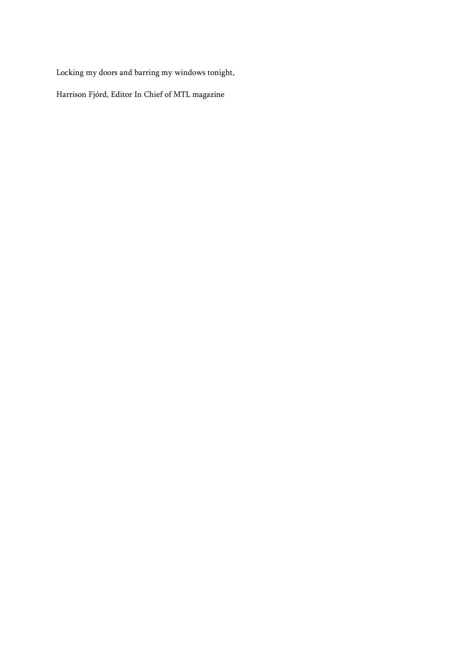Locking my doors and barring my windows tonight,

Harrison Fjórd, Editor In Chief of MTL magazine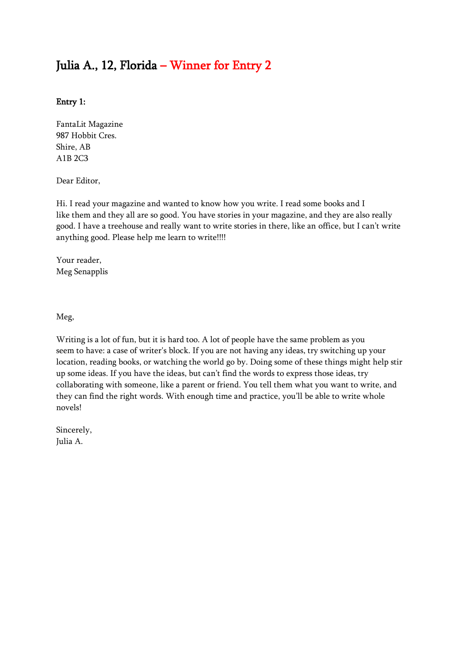# Julia A., 12, Florida – Winner for Entry 2

#### Entry 1:

FantaLit Magazine 987 Hobbit Cres. Shire, AB A1B 2C3

Dear Editor,

Hi. I read your magazine and wanted to know how you write. I read some books and I like them and they all are so good. You have stories in your magazine, and they are also really good. I have a treehouse and really want to write stories in there, like an office, but I can't write anything good. Please help me learn to write!!!!

Your reader, Meg Senapplis

Meg,

Writing is a lot of fun, but it is hard too. A lot of people have the same problem as you seem to have: a case of writer's block. If you are not having any ideas, try switching up your location, reading books, or watching the world go by. Doing some of these things might help stir up some ideas. If you have the ideas, but can't find the words to express those ideas, try collaborating with someone, like a parent or friend. You tell them what you want to write, and they can find the right words. With enough time and practice, you'll be able to write whole novels!

Sincerely, Julia A.